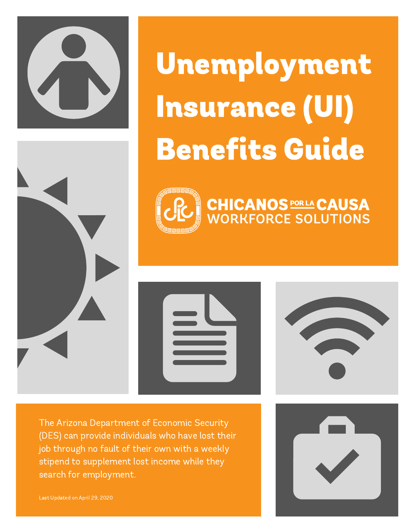

Unemployment Insurance (UI) Benefits Guide

**CHICANOS PORLA CAUSA<br>WORKFORCE SOLUTIONS** 









The Arizona Department of Economic Security (DES) can provide individuals who have lost their job through no fault of their own with a weekly stipend to supplement lost income while they search for employment.

Last Updated on April 29, 2020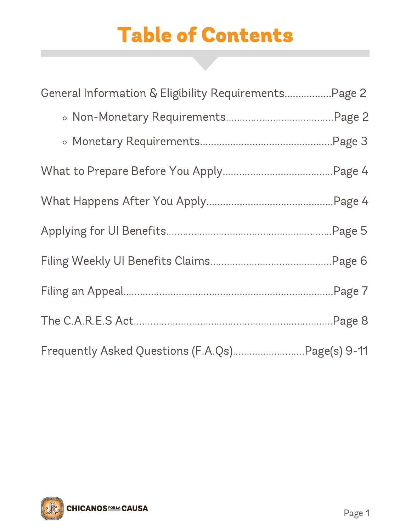# Table of Contents

| General Information & Eligibility Requirements Page 2 |  |
|-------------------------------------------------------|--|
|                                                       |  |
|                                                       |  |
|                                                       |  |
|                                                       |  |
|                                                       |  |
|                                                       |  |
|                                                       |  |
|                                                       |  |
| Frequently Asked Questions (F.A.Qs)Page(s) 9-11       |  |

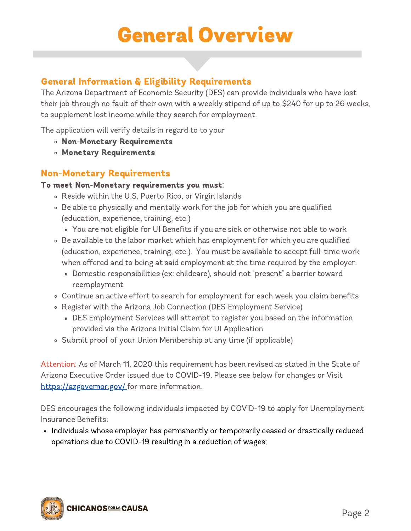# General Overview

### General Information & Eligibility Requirements

The Arizona Department of Economic Security (DES) can provide individuals who have lost their job through no fault of their own with a weekly stipend of up to \$240 for up to 26 weeks, to supplement lost income while they search for employment.

The application will verify details in regard to to your

- Non-Monetary Requirements
- Monetary Requirements

### Non-Monetary Requirements

#### To meet Non-Monetary requirements you must:

- Reside within the U.S, Puerto Rico, or Virgin Islands
- Be able to physically and mentally work for the job for which you are qualified (education, experience, training, etc.)
	- You are not eligible for UI Benefits if you are sick or otherwise not able to work
- Be available to the labor market which has employment for which you are qualified (education, experience, training, etc.). You must be available to accept full-time work when offered and to being at said employment at the time required by the employer.
	- Domestic responsibilities (ex: childcare), should not "present" a barrier toward reemployment
- Continue an active effort to search for employment for each week you claim benefits
- Register with the Arizona Job Connection (DES Employment Service)
	- DES Employment Services will attempt to register you based on the information provided via the Arizona Initial Claim for UI Application
- Submit proof of your Union Membership at any time (if applicable)

Attention: As of March 11, 2020 this requirement has been revised as stated in the State of Arizona Executive Order issued due to COVID-19. Please see below for changes or Visit <https://azgovernor.gov/> for more information.

DES encourages the following individuals impacted by COVID-19 to apply for Unemployment Insurance Benefits:

• Individuals whose employer has permanently or temporarily ceased or drastically reduced operations due to COVID-19 resulting in a reduction of wages;

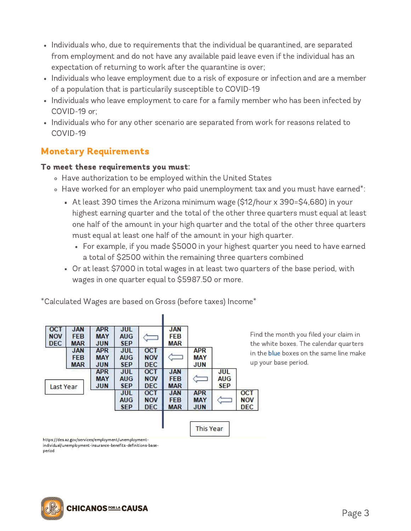- Individuals who, due to requirements that the individual be quarantined, are separated from employment and do not have any available paid leave even if the individual has an expectation of returning to work after the quarantine is over;
- Individuals who leave employment due to a risk of exposure or infection and are a member of a population that is particularily susceptible to COVID-19
- Individuals who leave employment to care for a family member who has been infected by COVID-19 or;
- Individuals who for any other scenario are separated from work for reasons related to COVID-19

### Monetary Requirements

#### To meet these requirements you must:

- Have authorization to be employed within the United States
- Have worked for an employer who paid unemployment tax and you must have earned\*:
	- At least 390 times the Arizona minimum wage (\$12/hour x 390=\$4,680) in your highest earning quarter and the total of the other three quarters must equal at least one half of the amount in your high quarter and the total of the other three quarters must equal at least one half of the amount in your high quarter.
		- For example, if you made \$5000 in your highest quarter you need to have earned a total of \$2500 within the remaining three quarters combined
	- Or at least \$7000 in total wages in at least two quarters of the base period, with wages in one quarter equal to \$5987.50 or more.

|                                 |                                        | <b>JAN</b><br><b>FEB</b><br>MAR        |                                        | <b>JUL</b><br><b>AUG</b><br><b>SEP</b> | <b>APR</b><br><b>MAY</b><br><b>JUN</b> | <b>JAN</b><br><b>FEB</b><br><b>MAR</b> | <b>OCT</b><br><b>NOV</b><br><b>DEC</b> |
|---------------------------------|----------------------------------------|----------------------------------------|----------------------------------------|----------------------------------------|----------------------------------------|----------------------------------------|----------------------------------------|
|                                 | <b>APR</b><br><b>MAY</b><br><b>JUN</b> |                                        | <b>OCT</b><br><b>NOV</b><br><b>DEC</b> | <b>JUL</b><br><b>AUG</b><br><b>SEP</b> | <b>APR</b><br><b>MAY</b><br><b>JUN</b> | <b>JAN</b><br><b>FEB</b><br><b>MAR</b> |                                        |
| JUL<br>AUG.<br><b>SEP</b>       |                                        | <b>JAN</b><br><b>FEB</b><br><b>MAR</b> | <b>OCT</b><br><b>NOV</b><br><b>DEC</b> | <b>JUL</b><br><b>AUG</b><br><b>SEP</b> | <b>APR</b><br><b>MAY</b><br><b>JUN</b> |                                        | Last Year                              |
| <b>OCT</b><br><b>NOV</b><br>DEC | <b>APR</b><br><b>MAY</b><br><b>JUN</b> | <b>JAN</b><br><b>FEB</b><br><b>MAR</b> | <b>OCT</b><br><b>NOV</b><br><b>DEC</b> | <b>JUL</b><br><b>AUG</b><br><b>SEP</b> |                                        |                                        |                                        |

\*Calculated Wages are based on Gross (before taxes) Income\*

nd the month you filed your claim in te white boxes. The calendar quarters the blue boxes on the same line make o your base period.

https://des.az.gov/services/employment/unemploymentindividual/unemployment-insurance-benefits-definitions-baseperiod

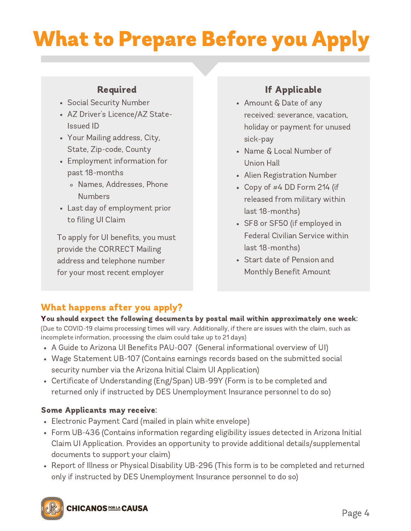# What to Prepare Before you Apply

#### Required

- Social Security Number
- AZ Driver's Licence/AZ State-Issued ID
- Your Mailing address, City, State, Zip-code, County
- Employment information for past 18-months
	- Names, Addresses, Phone **Numbers**
- Last day of employment prior to filing UI Claim

To apply for UI benefits, you must provide the CORRECT Mailing address and telephone number for your most recent employer

### If Applicable

- Amount & Date of any received: severance, vacation, holiday or payment for unused sick-pay
- Name & Local Number of Union Hall
- Alien Registration Number
- Copy of  $#4$  DD Form 214 (if released from military within last 18-months)
- SF8 or SF50 (if employed in Federal Civilian Service within last 18-months)
- Start date of Pension and Monthly Benefit Amount

### What happens after you apply?

You should expect the following documents by postal mail within approximately one week: (Due to COVID-19 claims processing times will vary. Additionally, if there are issues with the claim, such as incomplete information, processing the claim could take up to 21 days)

- A Guide to Arizona UI Benefits PAU-007 (General informational overview of UI)
- Wage Statement UB-107 (Contains earnings records based on the submitted social security number via the Arizona Initial Claim UI Application)
- Certificate of Understanding (Eng/Span) UB-99Y (Form is to be completed and returned only if instructed by DES Unemployment Insurance personnel to do so)

#### Some Applicants may receive:

- Electronic Payment Card (mailed in plain white envelope)
- Form UB-436 (Contains information regarding eligibility issues detected in Arizona Initial Claim UI Application. Provides an opportunity to provide additional details/supplemental documents to support your claim)
- Report of Illness or Physical Disability UB-296 (This form is to be completed and returned only if instructed by DES Unemployment Insurance personnel to do so)

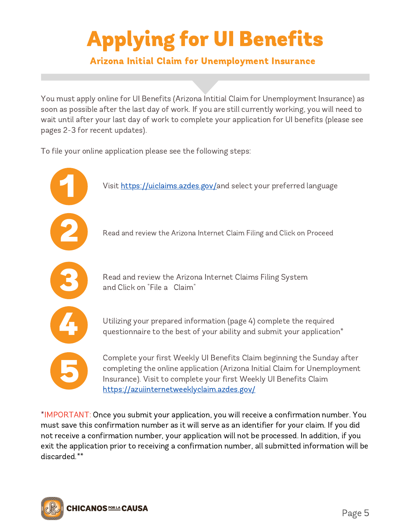# Applying for UI Benefits

### Arizona Initial Claim for Unemployment Insurance

You must apply online for UI Benefits (Arizona Intitial Claim for Unemployment Insurance) as soon as possible after the last day of work. If you are still currently working, you will need to wait until after your last day of work to complete your application for UI benefits (please see pages 2-3 for recent updates).

To file your online application please see the following steps:



\*IMPORTANT: Once you submit your application, you will receive a confirmation number. You must save this confirmation number as it will serve as an identifier for your claim. If you did not receive a confirmation number, your application will not be processed. In addition, if you exit the application prior to receiving a confirmation number, all submitted information will be discarded.\*\*

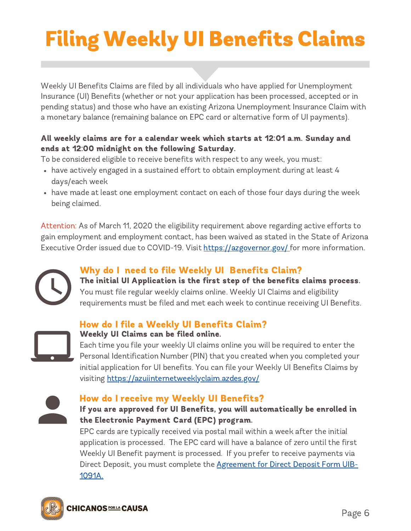# Filing Weekly UI Benefits Claims

Weekly UI Benefits Claims are filed by all individuals who have applied for Unemployment Insurance (UI) Benefits (whether or not your application has been processed, accepted or in pending status) and those who have an existing Arizona Unemployment Insurance Claim with a monetary balance (remaining balance on EPC card or alternative form of UI payments).

#### All weekly claims are for a calendar week which starts at 12:01 a.m. Sunday and ends at 12:00 midnight on the following Saturday.

To be considered eligible to receive benefits with respect to any week, you must:

- have actively engaged in a sustained effort to obtain employment during at least 4 days/each week
- have made at least one employment contact on each of those four days during the week being claimed.

Attention: As of March 11, 2020 the eligibility requirement above regarding active efforts to gain employment and employment contact, has been waived as stated in the State of Arizona Executive Order issued due to COVID-19. Visit <https://azgovernor.gov/> for more information.



### Why do I need to file Weekly UI Benefits Claim?

The initial UI Application is the first step of the benefits claims process. You must file regular weekly claims online. Weekly UI Claims and eligibility requirements must be filed and met each week to continue receiving UI Benefits.

#### How do I file a Weekly UI Benefits Claim?



### Weekly UI Claims can be filed online.

Each time you file your weekly UI claims online you will be required to enter the Personal Identification Number (PIN) that you created when you completed your initial application for UI benefits. You can file your Weekly UI Benefits Claims by visiting <https://azuiinternetweeklyclaim.azdes.gov/>



#### How do I receive my Weekly UI Benefits?

#### If you are approved for UI Benefits, you will automatically be enrolled in the Electronic Payment Card (EPC) program.

EPC cards are typically received via postal mail within a week after the initial application is processed. The EPC card will have a balance of zero until the first Weekly UI Benefit payment is processed. If you prefer to receive payments via Direct Deposit, you must complete [the Agreement](https://des.az.gov/sites/default/files/dl/UIB-1091A.pdf) for Direct Deposit Form UIB-1091A.

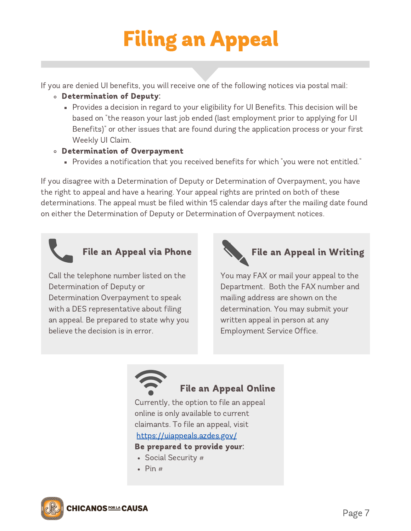# Filing an Appeal

If you are denied UI benefits, you will receive one of the following notices via postal mail:

- Determination of Deputy:
	- Provides a decision in regard to your eligibility for UI Benefits. This decision will be based on "the reason your last job ended (last employment prior to applying for UI Benefits)" or other issues that are found during the application process or your first Weekly UI Claim.
- Determination of Overpayment
	- Provides a notification that you received benefits for which "you were not entitled."

If you disagree with a Determination of Deputy or Determination of Overpayment, you have the right to appeal and have a hearing. Your appeal rights are printed on both of these determinations. The appeal must be filed within 15 calendar days after the mailing date found on either the Determination of Deputy or Determination of Overpayment notices.



Call the telephone number listed on the Determination of Deputy or Determination Overpayment to speak with a DES representative about filing an appeal. Be prepared to state why you believe the decision is in error.



# File an Appeal via Phone  $\left\{\bigcup_{n=1}^{\infty} f_n\right\}$  File an Appeal in Writing

You may FAX or mail your appeal to the Department. Both the FAX number and mailing address are shown on the determination. You may submit your written appeal in person at any Employment Service Office.



### File an Appeal Online

Currently, the option to file an appeal online is only available to current claimants. To file an appeal, visit <https://uiappeals.azdes.gov/>

#### Be prepared to provide your:

- Social Security #
- $\bullet$  Pin  $#$

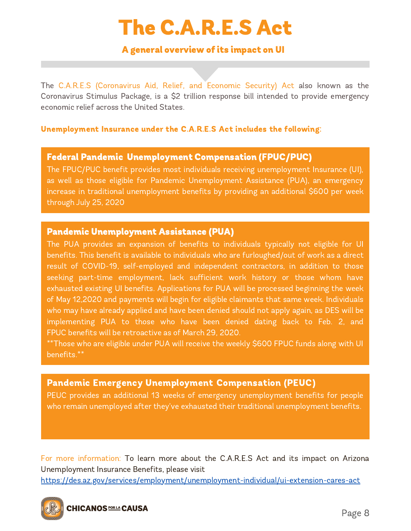# The C.A.R.E.S Act

#### A general overview of its impact on UI

The C.A.R.E.S (Coronavirus Aid, Relief, and Economic Security) Act also known as the Coronavirus Stimulus Package, is a \$2 trillion response bill intended to provide emergency economic relief across the United States.

#### Unemployment Insurance under the C.A.R.E.S Act includes the following:

#### Federal Pandemic Unemployment Compensation (FPUC/PUC)

The FPUC/PUC benefit provides most individuals receiving unemployment Insurance (UI), as well as those eligible for Pandemic Unemployment Assistance (PUA), an emergency increase in traditional unemployment benefits by providing an additional \$600 per week through July 25, 2020

#### Pandemic Unemployment Assistance (PUA)

The PUA provides an expansion of benefits to individuals typically not eligible for UI benefits. This benefit is available to individuals who are furloughed/out of work as a direct result of COVID-19, self-employed and independent contractors, in addition to those seeking part-time employment, lack sufficient work history or those whom have exhausted existing UI benefits. Applications for PUA will be processed beginning the week of May 12,2020 and payments will begin for eligible claimants that same week. Individuals who may have already applied and have been denied should not apply again, as DES will be implementing PUA to those who have been denied dating back to Feb. 2, and FPUC benefits will be retroactive as of March 29, 2020.

\*\*Those who are eligible under PUA will receive the weekly \$600 FPUC funds along with UI benefits.\*\*

#### Pandemic Emergency Unemployment Compensation (PEUC)

PEUC provides an additional 13 weeks of emergency unemployment benefits for people who remain unemployed after they've exhausted their traditional unemployment benefits.

For more information: To learn more about the C.A.R.E.S Act and its impact on Arizona Unemployment Insurance Benefits, please visit

<https://des.az.gov/services/employment/unemployment-individual/ui-extension-cares-act>

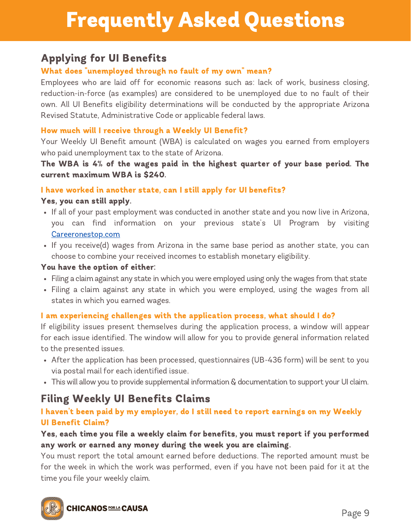# Frequently Asked Questions

### Applying for UI Benefits

#### What does "unemployed through no fault of my own" mean?

Employees who are laid off for economic reasons such as: lack of work, business closing, reduction-in-force (as examples) are considered to be unemployed due to no fault of their own. All UI Benefits eligibility determinations will be conducted by the appropriate Arizona Revised Statute, Administrative Code or applicable federal laws.

#### How much will I receive through a Weekly UI Benefit?

Your Weekly UI Benefit amount (WBA) is calculated on wages you earned from employers who paid unemployment tax to the state of Arizona.

The WBA is 4% of the wages paid in the highest quarter of your base period. The current maximum WBA is \$240.

#### I have worked in another state, can I still apply for UI benefits?

#### Yes, you can still apply.

- If all of your past employment was conducted in another state and you now live in Arizona, you can find information on your previous state's UI Program by visiting [Careeronestop.com](http://careeronestop.com/)
- If you receive(d) wages from Arizona in the same base period as another state, you can choose to combine your received incomes to establish monetary eligibility.

#### You have the option of either:

- Filing a claim against any state in which you were employed using only the wages from that state
- Filing a claim against any state in which you were employed, using the wages from all states in which you earned wages.

#### I am experiencing challenges with the application process, what should I do?

If eligibility issues present themselves during the application process, a window will appear for each issue identified. The window will allow for you to provide general information related to the presented issues.

- After the application has been processed, questionnaires (UB-436 form) will be sent to you via postal mail for each identified issue.
- This will allow you to provide supplemental information & documentation to support your UI claim.

### Filing Weekly UI Benefits Claims

#### I haven't been paid by my employer, do I still need to report earnings on my Weekly UI Benefit Claim?

#### Yes, each time you file a weekly claim for benefits, you must report if you performed any work or earned any money during the week you are claiming.

You must report the total amount earned before deductions. The reported amount must be for the week in which the work was performed, even if you have not been paid for it at the time you file your weekly claim.

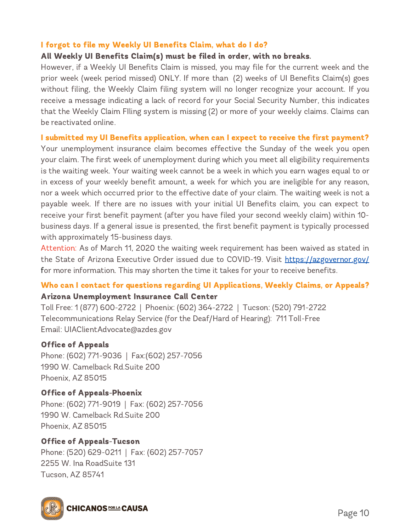#### I forgot to file my Weekly UI Benefits Claim, what do I do?

#### All Weekly UI Benefits Claim(s) must be filed in order, with no breaks.

However, if a Weekly UI Benefits Claim is missed, you may file for the current week and the prior week (week period missed) ONLY. If more than (2) weeks of UI Benefits Claim(s) goes without filing, the Weekly Claim filing system will no longer recognize your account. If you receive a message indicating a lack of record for your Social Security Number, this indicates that the Weekly Claim FIling system is missing (2) or more of your weekly claims. Claims can be reactivated online.

#### I submitted my UI Benefits application, when can I expect to receive the first payment?

Your unemployment insurance claim becomes effective the Sunday of the week you open your claim. The first week of unemployment during which you meet all eligibility requirements is the waiting week. Your waiting week cannot be a week in which you earn wages equal to or in excess of your weekly benefit amount, a week for which you are ineligible for any reason, nor a week which occurred prior to the effective date of your claim. The waiting week is not a payable week. If there are no issues with your initial UI Benefits claim, you can expect to receive your first benefit payment (after you have filed your second weekly claim) within 10 business days. If a general issue is presented, the first benefit payment is typically processed with approximately 15-business days.

Attention: As of March 11, 2020 the waiting week requirement has been waived as stated in the State of Arizona Executive Order issued due to COVID-19. Visit <https://azgovernor.gov/> for more information. This may shorten the time it takes for your to receive benefits.

#### Who can I contact for questions regarding UI Applications, Weekly Claims, or Appeals? Arizona Unemployment Insurance Call Center

Toll Free: 1 (877) 600-2722 | Phoenix: (602) 364-2722 | Tucson: (520) 791-2722 Telecommunications Relay Service (for the Deaf/Hard of Hearing): 711 Toll-Free Email: UIAClientAdvocate@azdes.gov

#### Office of Appeals

Phone: (602) 771-9036 | Fax:(602) 257-7056 1990 W. Camelback Rd.Suite 200 Phoenix, AZ 85015

#### Office of Appeals-Phoenix Phone: (602) 771-9019 | Fax: (602) 257-7056 1990 W. Camelback Rd.Suite 200 Phoenix, AZ 85015

Office of Appeals-Tucson Phone: (520) 629-0211 | Fax: (602) 257-7057 2255 W. Ina RoadSuite 131 Tucson, AZ 85741